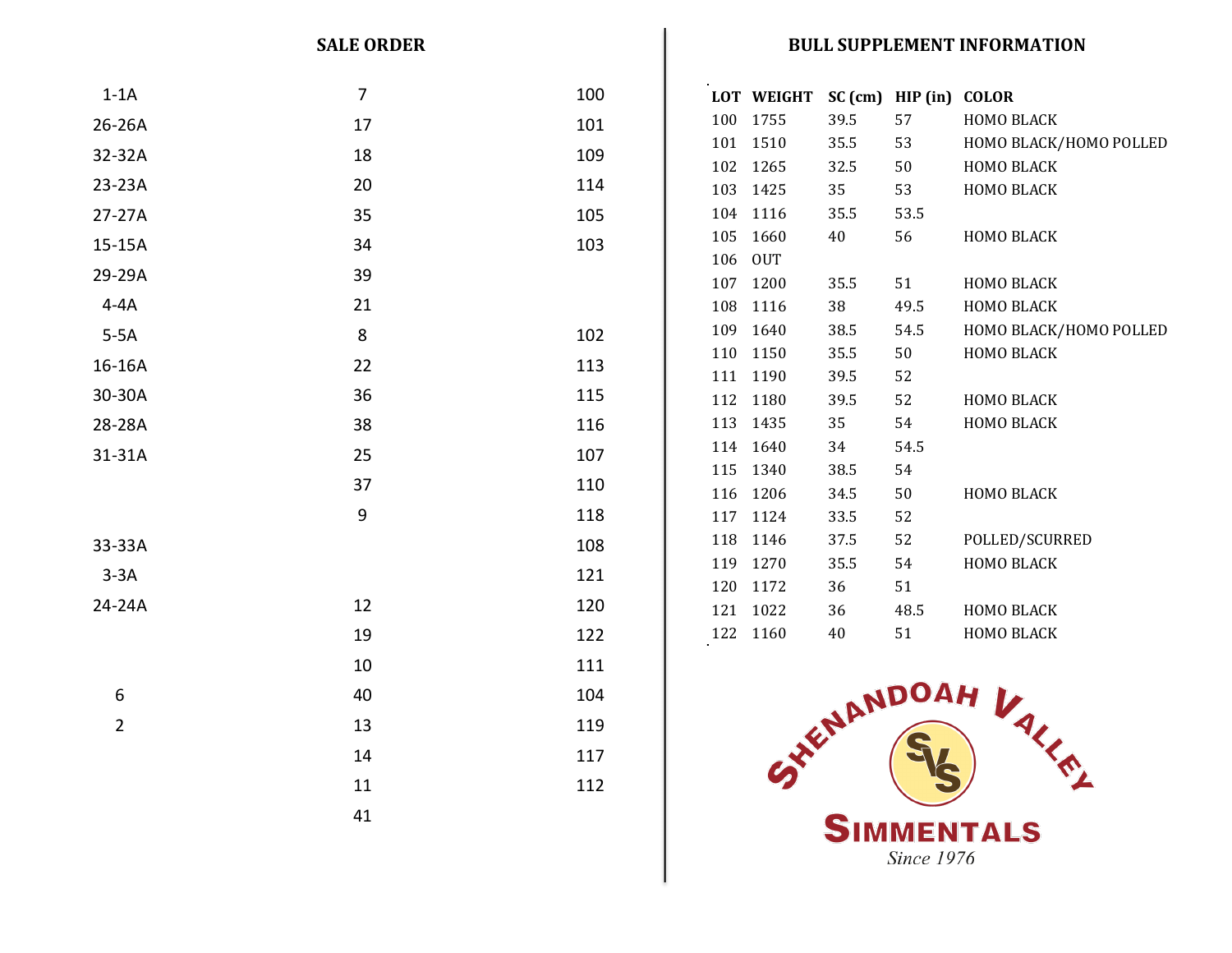## **SALE ORDER BULL SUPPLEMENT INFORMATION**

| $1-1A$         | 7     | 100 |            | LOT WEIGHT SC (cm) HIP (in) COLOR |            |          |                        |  |  |
|----------------|-------|-----|------------|-----------------------------------|------------|----------|------------------------|--|--|
| 26-26A         | 17    | 101 |            | 100 1755                          | 39.5       | 57       | HOMO BLACK             |  |  |
| 32-32A         | 18    | 109 |            | 101 1510                          | 35.5       | 53       | HOMO BLACK/HOMO POLLED |  |  |
|                |       |     |            | 102 1265                          | 32.5       | 50       | HOMO BLACK             |  |  |
| 23-23A         | 20    | 114 |            | 103 1425                          | 35         | 53       | HOMO BLACK             |  |  |
| 27-27A         | 35    | 105 | 104        | 1116                              | 35.5       | 53.5     |                        |  |  |
| 15-15A         | 34    | 103 | 105        | 1660                              | $40\,$     | 56       | HOMO BLACK             |  |  |
| 29-29A         | 39    |     | 106<br>107 | <b>OUT</b><br>1200                | 35.5       | 51       | HOMO BLACK             |  |  |
| $4 - 4A$       | 21    |     | 108        | 1116                              | 38         | 49.5     | HOMO BLACK             |  |  |
| $5-5A$         | 8     | 102 |            | 109 1640                          | 38.5       | 54.5     | HOMO BLACK/HOMO POLLED |  |  |
|                |       |     |            | 110 1150                          | 35.5       | 50       | HOMO BLACK             |  |  |
| 16-16A         | 22    | 113 |            | 111 1190                          | 39.5       | 52       |                        |  |  |
| 30-30A         | 36    | 115 |            | 112 1180                          | 39.5       | 52       | HOMO BLACK             |  |  |
| 28-28A         | 38    | 116 |            | 113 1435                          | 35         | 54       | HOMO BLACK             |  |  |
| 31-31A         | 25    | 107 |            | 114 1640                          | 34         | 54.5     |                        |  |  |
|                | 37    | 110 |            | 115 1340                          | 38.5       | 54       |                        |  |  |
|                |       |     |            | 116 1206                          | 34.5       | 50       | HOMO BLACK             |  |  |
|                | $9\,$ | 118 |            | 117 1124                          | 33.5       | 52       |                        |  |  |
| 33-33A         |       | 108 |            | 118 1146                          | 37.5       | 52       | POLLED/SCURRED         |  |  |
| $3-3A$         |       | 121 |            | 119 1270<br>120 1172              | 35.5<br>36 | 54<br>51 | HOMO BLACK             |  |  |
| 24-24A         | 12    | 120 |            | 121 1022                          | 36         | 48.5     | HOMO BLACK             |  |  |
|                | 19    | 122 |            | 122 1160                          | 40         | 51       | HOMO BLACK             |  |  |
|                | 10    | 111 |            |                                   |            |          |                        |  |  |
| 6              | 40    | 104 |            |                                   |            |          |                        |  |  |
| $\overline{2}$ | 13    | 119 |            |                                   |            |          |                        |  |  |
|                | 14    | 117 |            |                                   |            |          |                        |  |  |
|                | 11    | 112 |            |                                   |            |          | HENDOAH VALLE          |  |  |
|                | 41    |     |            |                                   |            |          |                        |  |  |
|                |       |     | SIMMENTALS |                                   |            |          |                        |  |  |

**Since 1976**